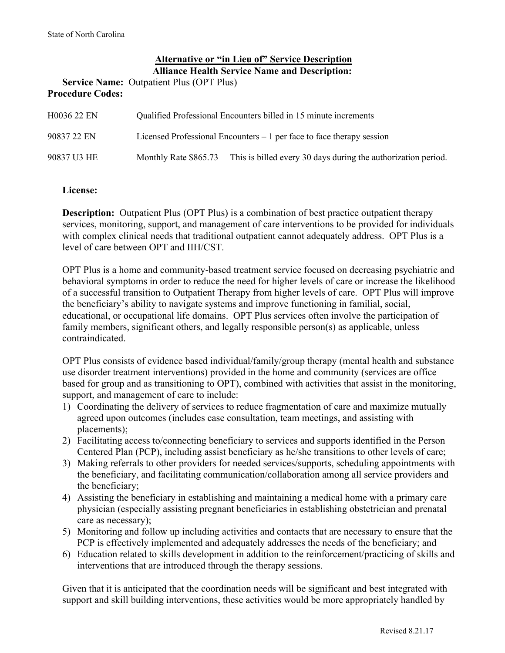## **Alternative or "in Lieu of" Service Description Alliance Health Service Name and Description:**

**Service Name:** Outpatient Plus (OPT Plus) **Procedure Codes:**

| H0036 22 EN | Qualified Professional Encounters billed in 15 minute increments |                                                                        |  |
|-------------|------------------------------------------------------------------|------------------------------------------------------------------------|--|
| 90837 22 EN |                                                                  | Licensed Professional Encounters $-1$ per face to face therapy session |  |
| 90837 U3 HE | Monthly Rate \$865.73                                            | This is billed every 30 days during the authorization period.          |  |

#### **License:**

**Description:** Outpatient Plus (OPT Plus) is a combination of best practice outpatient therapy services, monitoring, support, and management of care interventions to be provided for individuals with complex clinical needs that traditional outpatient cannot adequately address.OPT Plus is a level of care between OPT and IIH/CST.

OPT Plus is a home and community-based treatment service focused on decreasing psychiatric and behavioral symptoms in order to reduce the need for higher levels of care or increase the likelihood of a successful transition to Outpatient Therapy from higher levels of care. OPT Plus will improve the beneficiary's ability to navigate systems and improve functioning in familial, social, educational, or occupational life domains. OPT Plus services often involve the participation of family members, significant others, and legally responsible person(s) as applicable, unless contraindicated.

OPT Plus consists of evidence based individual/family/group therapy (mental health and substance use disorder treatment interventions) provided in the home and community (services are office based for group and as transitioning to OPT), combined with activities that assist in the monitoring, support, and management of care to include:

- 1) Coordinating the delivery of services to reduce fragmentation of care and maximize mutually agreed upon outcomes (includes case consultation, team meetings, and assisting with placements);
- 2) Facilitating access to/connecting beneficiary to services and supports identified in the Person Centered Plan (PCP), including assist beneficiary as he/she transitions to other levels of care;
- 3) Making referrals to other providers for needed services/supports, scheduling appointments with the beneficiary, and facilitating communication/collaboration among all service providers and the beneficiary;
- 4) Assisting the beneficiary in establishing and maintaining a medical home with a primary care physician (especially assisting pregnant beneficiaries in establishing obstetrician and prenatal care as necessary);
- 5) Monitoring and follow up including activities and contacts that are necessary to ensure that the PCP is effectively implemented and adequately addresses the needs of the beneficiary; and
- 6) Education related to skills development in addition to the reinforcement/practicing of skills and interventions that are introduced through the therapy sessions.

Given that it is anticipated that the coordination needs will be significant and best integrated with support and skill building interventions, these activities would be more appropriately handled by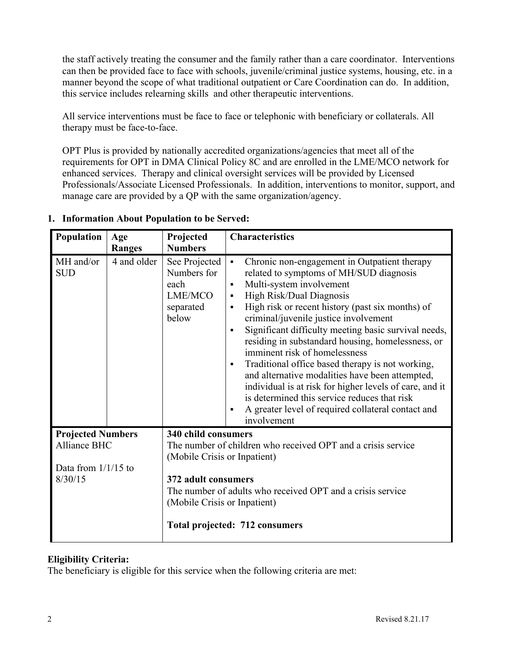the staff actively treating the consumer and the family rather than a care coordinator. Interventions can then be provided face to face with schools, juvenile/criminal justice systems, housing, etc. in a manner beyond the scope of what traditional outpatient or Care Coordination can do. In addition, this service includes relearning skills and other therapeutic interventions.

All service interventions must be face to face or telephonic with beneficiary or collaterals. All therapy must be face-to-face.

OPT Plus is provided by nationally accredited organizations/agencies that meet all of the requirements for OPT in DMA Clinical Policy 8C and are enrolled in the LME/MCO network for enhanced services. Therapy and clinical oversight services will be provided by Licensed Professionals/Associate Licensed Professionals. In addition, interventions to monitor, support, and manage care are provided by a QP with the same organization/agency.

| Population                                                 | Age           | Projected                                                             | <b>Characteristics</b>                                                                                                                                                                                                                                                                                                                                                                                                                                                                                                                                                                                                                                                                                                                                                                        |
|------------------------------------------------------------|---------------|-----------------------------------------------------------------------|-----------------------------------------------------------------------------------------------------------------------------------------------------------------------------------------------------------------------------------------------------------------------------------------------------------------------------------------------------------------------------------------------------------------------------------------------------------------------------------------------------------------------------------------------------------------------------------------------------------------------------------------------------------------------------------------------------------------------------------------------------------------------------------------------|
|                                                            | <b>Ranges</b> | <b>Numbers</b>                                                        |                                                                                                                                                                                                                                                                                                                                                                                                                                                                                                                                                                                                                                                                                                                                                                                               |
| MH and/or<br><b>SUD</b>                                    | 4 and older   | See Projected<br>Numbers for<br>each<br>LME/MCO<br>separated<br>below | Chronic non-engagement in Outpatient therapy<br>$\blacksquare$<br>related to symptoms of MH/SUD diagnosis<br>Multi-system involvement<br>$\blacksquare$<br>High Risk/Dual Diagnosis<br>$\blacksquare$<br>High risk or recent history (past six months) of<br>$\blacksquare$<br>criminal/juvenile justice involvement<br>Significant difficulty meeting basic survival needs,<br>$\blacksquare$<br>residing in substandard housing, homelessness, or<br>imminent risk of homelessness<br>Traditional office based therapy is not working,<br>$\blacksquare$<br>and alternative modalities have been attempted,<br>individual is at risk for higher levels of care, and it<br>is determined this service reduces that risk<br>A greater level of required collateral contact and<br>involvement |
| <b>Projected Numbers</b>                                   |               | 340 child consumers                                                   |                                                                                                                                                                                                                                                                                                                                                                                                                                                                                                                                                                                                                                                                                                                                                                                               |
| Alliance BHC                                               |               | (Mobile Crisis or Inpatient)                                          | The number of children who received OPT and a crisis service                                                                                                                                                                                                                                                                                                                                                                                                                                                                                                                                                                                                                                                                                                                                  |
| Data from $1/1/15$ to                                      |               |                                                                       |                                                                                                                                                                                                                                                                                                                                                                                                                                                                                                                                                                                                                                                                                                                                                                                               |
| 8/30/15<br>372 adult consumers                             |               |                                                                       |                                                                                                                                                                                                                                                                                                                                                                                                                                                                                                                                                                                                                                                                                                                                                                                               |
| The number of adults who received OPT and a crisis service |               |                                                                       |                                                                                                                                                                                                                                                                                                                                                                                                                                                                                                                                                                                                                                                                                                                                                                                               |
| (Mobile Crisis or Inpatient)                               |               |                                                                       |                                                                                                                                                                                                                                                                                                                                                                                                                                                                                                                                                                                                                                                                                                                                                                                               |
| <b>Total projected: 712 consumers</b>                      |               |                                                                       |                                                                                                                                                                                                                                                                                                                                                                                                                                                                                                                                                                                                                                                                                                                                                                                               |

# **1. Information About Population to be Served:**

## **Eligibility Criteria:**

The beneficiary is eligible for this service when the following criteria are met: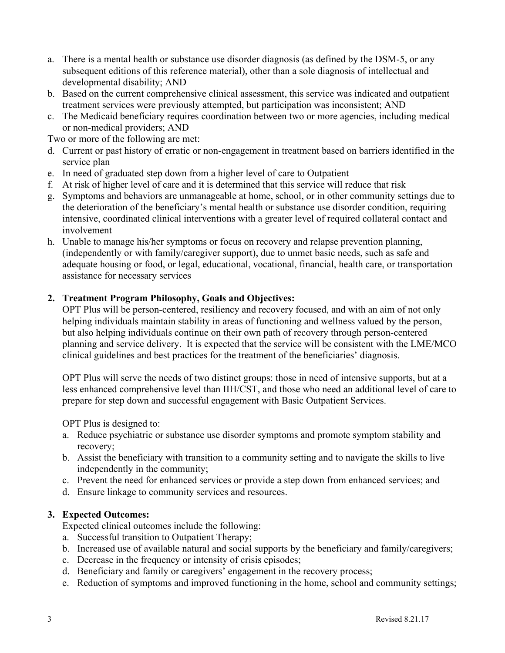- a. There is a mental health or substance use disorder diagnosis (as defined by the DSM-5, or any subsequent editions of this reference material), other than a sole diagnosis of intellectual and developmental disability; AND
- b. Based on the current comprehensive clinical assessment, this service was indicated and outpatient treatment services were previously attempted, but participation was inconsistent; AND
- c. The Medicaid beneficiary requires coordination between two or more agencies, including medical or non-medical providers; AND

Two or more of the following are met:

- d. Current or past history of erratic or non-engagement in treatment based on barriers identified in the service plan
- e. In need of graduated step down from a higher level of care to Outpatient
- f. At risk of higher level of care and it is determined that this service will reduce that risk
- g. Symptoms and behaviors are unmanageable at home, school, or in other community settings due to the deterioration of the beneficiary's mental health or substance use disorder condition, requiring intensive, coordinated clinical interventions with a greater level of required collateral contact and involvement
- h. Unable to manage his/her symptoms or focus on recovery and relapse prevention planning, (independently or with family/caregiver support), due to unmet basic needs, such as safe and adequate housing or food, or legal, educational, vocational, financial, health care, or transportation assistance for necessary services

## **2. Treatment Program Philosophy, Goals and Objectives:**

OPT Plus will be person-centered, resiliency and recovery focused, and with an aim of not only helping individuals maintain stability in areas of functioning and wellness valued by the person, but also helping individuals continue on their own path of recovery through person-centered planning and service delivery. It is expected that the service will be consistent with the LME/MCO clinical guidelines and best practices for the treatment of the beneficiaries' diagnosis.

OPT Plus will serve the needs of two distinct groups: those in need of intensive supports, but at a less enhanced comprehensive level than IIH/CST, and those who need an additional level of care to prepare for step down and successful engagement with Basic Outpatient Services.

OPT Plus is designed to:

- a. Reduce psychiatric or substance use disorder symptoms and promote symptom stability and recovery;
- b. Assist the beneficiary with transition to a community setting and to navigate the skills to live independently in the community;
- c. Prevent the need for enhanced services or provide a step down from enhanced services; and
- d. Ensure linkage to community services and resources.

## **3. Expected Outcomes:**

Expected clinical outcomes include the following:

- a. Successful transition to Outpatient Therapy;
- b. Increased use of available natural and social supports by the beneficiary and family/caregivers;
- c. Decrease in the frequency or intensity of crisis episodes;
- d. Beneficiary and family or caregivers' engagement in the recovery process;
- e. Reduction of symptoms and improved functioning in the home, school and community settings;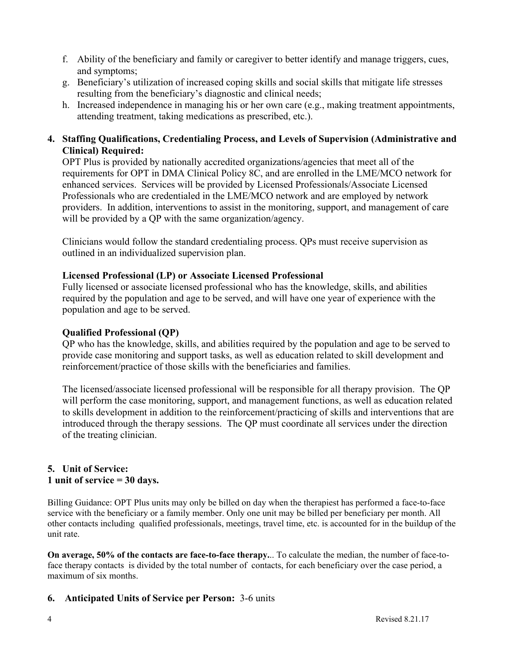- f. Ability of the beneficiary and family or caregiver to better identify and manage triggers, cues, and symptoms;
- g. Beneficiary's utilization of increased coping skills and social skills that mitigate life stresses resulting from the beneficiary's diagnostic and clinical needs;
- h. Increased independence in managing his or her own care (e.g., making treatment appointments, attending treatment, taking medications as prescribed, etc.).

## **4. Staffing Qualifications, Credentialing Process, and Levels of Supervision (Administrative and Clinical) Required:**

OPT Plus is provided by nationally accredited organizations/agencies that meet all of the requirements for OPT in DMA Clinical Policy 8C, and are enrolled in the LME/MCO network for enhanced services. Services will be provided by Licensed Professionals/Associate Licensed Professionals who are credentialed in the LME/MCO network and are employed by network providers. In addition, interventions to assist in the monitoring, support, and management of care will be provided by a QP with the same organization/agency.

Clinicians would follow the standard credentialing process. QPs must receive supervision as outlined in an individualized supervision plan.

## **Licensed Professional (LP) or Associate Licensed Professional**

Fully licensed or associate licensed professional who has the knowledge, skills, and abilities required by the population and age to be served, and will have one year of experience with the population and age to be served.

#### **Qualified Professional (QP)**

QP who has the knowledge, skills, and abilities required by the population and age to be served to provide case monitoring and support tasks, as well as education related to skill development and reinforcement/practice of those skills with the beneficiaries and families.

The licensed/associate licensed professional will be responsible for all therapy provision. The QP will perform the case monitoring, support, and management functions, as well as education related to skills development in addition to the reinforcement/practicing of skills and interventions that are introduced through the therapy sessions. The QP must coordinate all services under the direction of the treating clinician.

## **5. Unit of Service: 1 unit of service = 30 days.**

Billing Guidance: OPT Plus units may only be billed on day when the therapiest has performed a face-to-face service with the beneficiary or a family member. Only one unit may be billed per beneficiary per month. All other contacts including qualified professionals, meetings, travel time, etc. is accounted for in the buildup of the unit rate.

**On average, 50% of the contacts are face-to-face therapy.**.. To calculate the median, the number of face-toface therapy contacts is divided by the total number of contacts, for each beneficiary over the case period, a maximum of six months.

#### **6. Anticipated Units of Service per Person:** 3-6 units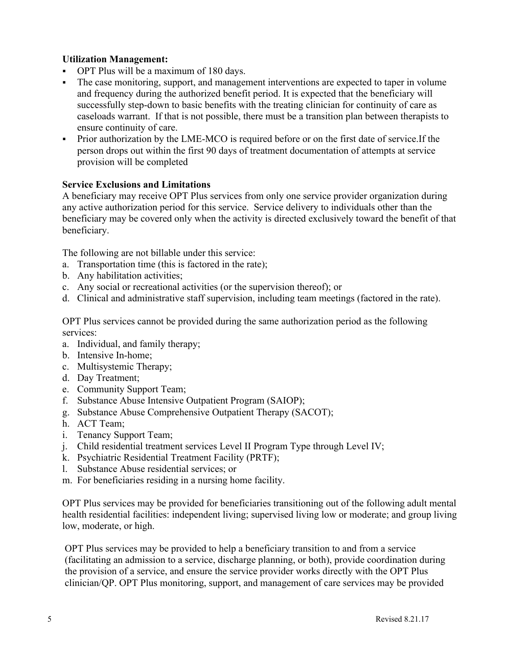## **Utilization Management:**

- OPT Plus will be a maximum of 180 days.
- The case monitoring, support, and management interventions are expected to taper in volume and frequency during the authorized benefit period. It is expected that the beneficiary will successfully step-down to basic benefits with the treating clinician for continuity of care as caseloads warrant. If that is not possible, there must be a transition plan between therapists to ensure continuity of care.
- Prior authorization by the LME-MCO is required before or on the first date of service.If the person drops out within the first 90 days of treatment documentation of attempts at service provision will be completed

## **Service Exclusions and Limitations**

A beneficiary may receive OPT Plus services from only one service provider organization during any active authorization period for this service. Service delivery to individuals other than the beneficiary may be covered only when the activity is directed exclusively toward the benefit of that beneficiary.

The following are not billable under this service:

- a. Transportation time (this is factored in the rate);
- b. Any habilitation activities;
- c. Any social or recreational activities (or the supervision thereof); or
- d. Clinical and administrative staff supervision, including team meetings (factored in the rate).

OPT Plus services cannot be provided during the same authorization period as the following services:

- a. Individual, and family therapy;
- b. Intensive In-home;
- c. Multisystemic Therapy;
- d. Day Treatment;
- e. Community Support Team;
- f. Substance Abuse Intensive Outpatient Program (SAIOP);
- g. Substance Abuse Comprehensive Outpatient Therapy (SACOT);
- h. ACT Team;
- i. Tenancy Support Team;
- j. Child residential treatment services Level II Program Type through Level IV;
- k. Psychiatric Residential Treatment Facility (PRTF);
- l. Substance Abuse residential services; or
- m. For beneficiaries residing in a nursing home facility.

OPT Plus services may be provided for beneficiaries transitioning out of the following adult mental health residential facilities: independent living; supervised living low or moderate; and group living low, moderate, or high.

OPT Plus services may be provided to help a beneficiary transition to and from a service (facilitating an admission to a service, discharge planning, or both), provide coordination during the provision of a service, and ensure the service provider works directly with the OPT Plus clinician/QP. OPT Plus monitoring, support, and management of care services may be provided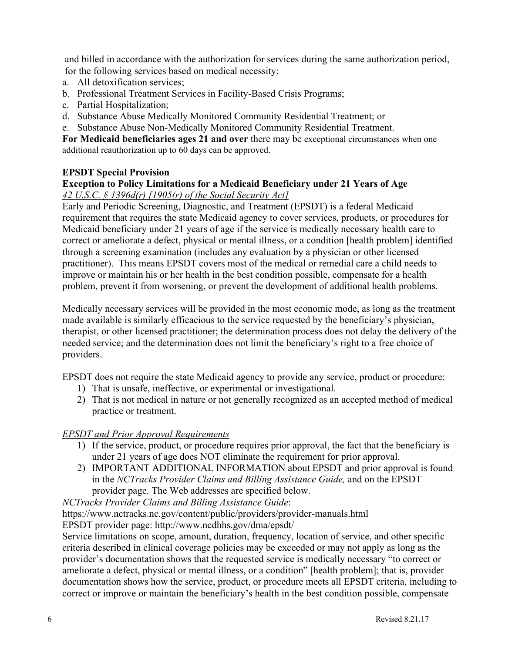and billed in accordance with the authorization for services during the same authorization period, for the following services based on medical necessity:

- a. All detoxification services;
- b. Professional Treatment Services in Facility-Based Crisis Programs;
- c. Partial Hospitalization;
- d. Substance Abuse Medically Monitored Community Residential Treatment; or
- e. Substance Abuse Non-Medically Monitored Community Residential Treatment.

**For Medicaid beneficiaries ages 21 and over** there may be exceptional circumstances when one additional reauthorization up to 60 days can be approved.

## **EPSDT Special Provision**

# **Exception to Policy Limitations for a Medicaid Beneficiary under 21 Years of Age**

## *42 U.S.C. § 1396d(r) [1905(r) of the Social Security Act]*

Early and Periodic Screening, Diagnostic, and Treatment (EPSDT) is a federal Medicaid requirement that requires the state Medicaid agency to cover services, products, or procedures for Medicaid beneficiary under 21 years of age if the service is medically necessary health care to correct or ameliorate a defect, physical or mental illness, or a condition [health problem] identified through a screening examination (includes any evaluation by a physician or other licensed practitioner). This means EPSDT covers most of the medical or remedial care a child needs to improve or maintain his or her health in the best condition possible, compensate for a health problem, prevent it from worsening, or prevent the development of additional health problems.

Medically necessary services will be provided in the most economic mode, as long as the treatment made available is similarly efficacious to the service requested by the beneficiary's physician, therapist, or other licensed practitioner; the determination process does not delay the delivery of the needed service; and the determination does not limit the beneficiary's right to a free choice of providers.

EPSDT does not require the state Medicaid agency to provide any service, product or procedure:

- 1) That is unsafe, ineffective, or experimental or investigational.
- 2) That is not medical in nature or not generally recognized as an accepted method of medical practice or treatment.

#### *EPSDT and Prior Approval Requirements*

- 1) If the service, product, or procedure requires prior approval, the fact that the beneficiary is under 21 years of age does NOT eliminate the requirement for prior approval.
- 2) IMPORTANT ADDITIONAL INFORMATION about EPSDT and prior approval is found in the *NCTracks Provider Claims and Billing Assistance Guide,* and on the EPSDT provider page. The Web addresses are specified below.

*NCTracks Provider Claims and Billing Assistance Guide*:

https://www.nctracks.nc.gov/content/public/providers/provider-manuals.html

EPSDT provider page: http://www.ncdhhs.gov/dma/epsdt/

Service limitations on scope, amount, duration, frequency, location of service, and other specific criteria described in clinical coverage policies may be exceeded or may not apply as long as the provider's documentation shows that the requested service is medically necessary "to correct or ameliorate a defect, physical or mental illness, or a condition" [health problem]; that is, provider documentation shows how the service, product, or procedure meets all EPSDT criteria, including to correct or improve or maintain the beneficiary's health in the best condition possible, compensate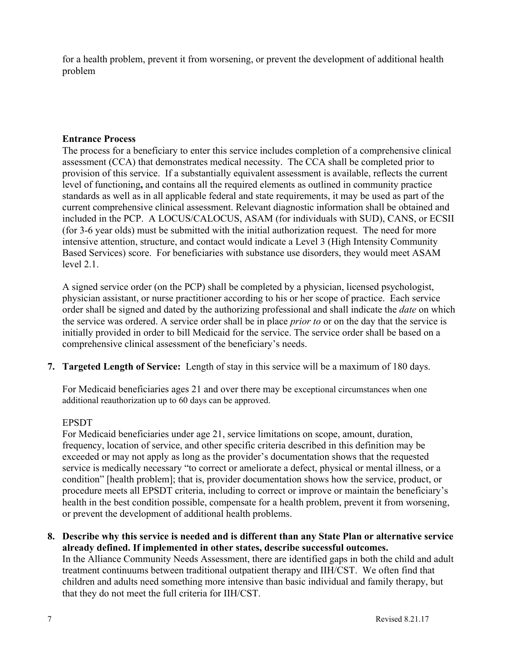for a health problem, prevent it from worsening, or prevent the development of additional health problem

## **Entrance Process**

The process for a beneficiary to enter this service includes completion of a comprehensive clinical assessment (CCA) that demonstrates medical necessity. The CCA shall be completed prior to provision of this service. If a substantially equivalent assessment is available, reflects the current level of functioning**,** and contains all the required elements as outlined in community practice standards as well as in all applicable federal and state requirements, it may be used as part of the current comprehensive clinical assessment. Relevant diagnostic information shall be obtained and included in the PCP. A LOCUS/CALOCUS, ASAM (for individuals with SUD), CANS, or ECSII (for 3-6 year olds) must be submitted with the initial authorization request. The need for more intensive attention, structure, and contact would indicate a Level 3 (High Intensity Community Based Services) score. For beneficiaries with substance use disorders, they would meet ASAM level 2.1.

A signed service order (on the PCP) shall be completed by a physician, licensed psychologist, physician assistant, or nurse practitioner according to his or her scope of practice. Each service order shall be signed and dated by the authorizing professional and shall indicate the *date* on which the service was ordered. A service order shall be in place *prior to* or on the day that the service is initially provided in order to bill Medicaid for the service. The service order shall be based on a comprehensive clinical assessment of the beneficiary's needs.

**7. Targeted Length of Service:** Length of stay in this service will be a maximum of 180 days.

For Medicaid beneficiaries ages 21 and over there may be exceptional circumstances when one additional reauthorization up to 60 days can be approved.

#### EPSDT

For Medicaid beneficiaries under age 21, service limitations on scope, amount, duration, frequency, location of service, and other specific criteria described in this definition may be exceeded or may not apply as long as the provider's documentation shows that the requested service is medically necessary "to correct or ameliorate a defect, physical or mental illness, or a condition" [health problem]; that is, provider documentation shows how the service, product, or procedure meets all EPSDT criteria, including to correct or improve or maintain the beneficiary's health in the best condition possible, compensate for a health problem, prevent it from worsening, or prevent the development of additional health problems.

**8. Describe why this service is needed and is different than any State Plan or alternative service already defined. If implemented in other states, describe successful outcomes.**

In the Alliance Community Needs Assessment, there are identified gaps in both the child and adult treatment continuums between traditional outpatient therapy and IIH/CST. We often find that children and adults need something more intensive than basic individual and family therapy, but that they do not meet the full criteria for IIH/CST.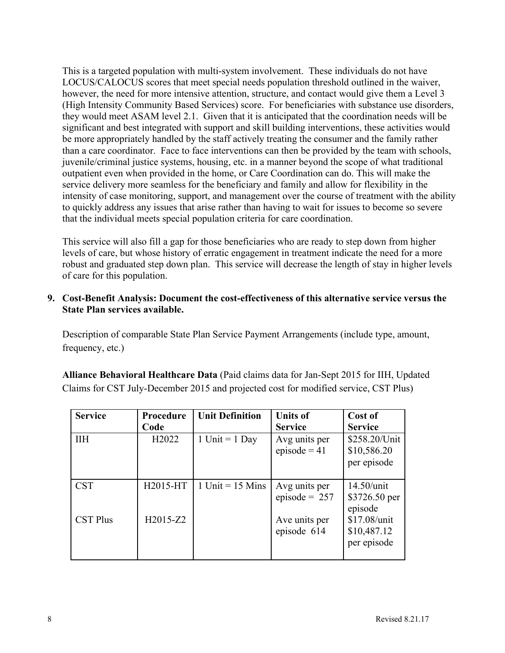This is a targeted population with multi-system involvement. These individuals do not have LOCUS/CALOCUS scores that meet special needs population threshold outlined in the waiver, however, the need for more intensive attention, structure, and contact would give them a Level 3 (High Intensity Community Based Services) score. For beneficiaries with substance use disorders, they would meet ASAM level 2.1. Given that it is anticipated that the coordination needs will be significant and best integrated with support and skill building interventions, these activities would be more appropriately handled by the staff actively treating the consumer and the family rather than a care coordinator. Face to face interventions can then be provided by the team with schools, juvenile/criminal justice systems, housing, etc. in a manner beyond the scope of what traditional outpatient even when provided in the home, or Care Coordination can do. This will make the service delivery more seamless for the beneficiary and family and allow for flexibility in the intensity of case monitoring, support, and management over the course of treatment with the ability to quickly address any issues that arise rather than having to wait for issues to become so severe that the individual meets special population criteria for care coordination.

This service will also fill a gap for those beneficiaries who are ready to step down from higher levels of care, but whose history of erratic engagement in treatment indicate the need for a more robust and graduated step down plan. This service will decrease the length of stay in higher levels of care for this population.

### **9. Cost-Benefit Analysis: Document the cost-effectiveness of this alternative service versus the State Plan services available.**

Description of comparable State Plan Service Payment Arrangements (include type, amount, frequency, etc.)

**Alliance Behavioral Healthcare Data** (Paid claims data for Jan-Sept 2015 for IIH, Updated Claims for CST July-December 2015 and projected cost for modified service, CST Plus)

| <b>Service</b>  | Procedure<br>Code  | <b>Unit Definition</b> | <b>Units of</b><br><b>Service</b> | Cost of<br><b>Service</b>                   |
|-----------------|--------------------|------------------------|-----------------------------------|---------------------------------------------|
| <b>IIH</b>      | H <sub>2</sub> 022 | 1 Unit = $1$ Day       | Avg units per<br>episode = $41$   | \$258.20/Unit<br>\$10,586.20<br>per episode |
| <b>CST</b>      | H2015-HT           | 1 Unit = $15$ Mins     | Avg units per<br>episode = $257$  | 14.50/unit<br>\$3726.50 per<br>episode      |
| <b>CST Plus</b> | H2015-Z2           |                        | Ave units per<br>episode 614      | \$17.08/unit<br>\$10,487.12<br>per episode  |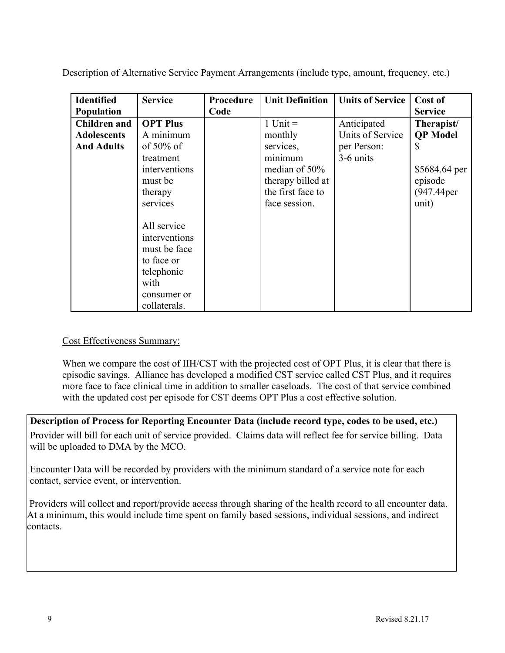| <b>Identified</b>   | <b>Service</b>  | Procedure | <b>Unit Definition</b> | <b>Units of Service</b> | Cost of         |
|---------------------|-----------------|-----------|------------------------|-------------------------|-----------------|
| Population          |                 | Code      |                        |                         | <b>Service</b>  |
| <b>Children</b> and | <b>OPT Plus</b> |           | 1 Unit $=$             | Anticipated             | Therapist/      |
| <b>Adolescents</b>  | A minimum       |           | monthly                | Units of Service        | <b>QP</b> Model |
| <b>And Adults</b>   | of $50\%$ of    |           | services,              | per Person:             | S               |
|                     | treatment       |           | minimum                | 3-6 units               |                 |
|                     | interventions   |           | median of 50%          |                         | \$5684.64 per   |
|                     | must be         |           | therapy billed at      |                         | episode         |
|                     | therapy         |           | the first face to      |                         | (947.44per      |
|                     | services        |           | face session.          |                         | unit)           |
|                     |                 |           |                        |                         |                 |
|                     | All service     |           |                        |                         |                 |
|                     | interventions   |           |                        |                         |                 |
|                     | must be face    |           |                        |                         |                 |
|                     | to face or      |           |                        |                         |                 |
|                     | telephonic      |           |                        |                         |                 |
|                     | with            |           |                        |                         |                 |
|                     | consumer or     |           |                        |                         |                 |
|                     | collaterals.    |           |                        |                         |                 |

Description of Alternative Service Payment Arrangements (include type, amount, frequency, etc.)

#### Cost Effectiveness Summary:

When we compare the cost of IIH/CST with the projected cost of OPT Plus, it is clear that there is episodic savings. Alliance has developed a modified CST service called CST Plus, and it requires more face to face clinical time in addition to smaller caseloads. The cost of that service combined with the updated cost per episode for CST deems OPT Plus a cost effective solution.

**Description of Process for Reporting Encounter Data (include record type, codes to be used, etc.)** Provider will bill for each unit of service provided. Claims data will reflect fee for service billing. Data will be uploaded to DMA by the MCO.

Encounter Data will be recorded by providers with the minimum standard of a service note for each contact, service event, or intervention.

Providers will collect and report/provide access through sharing of the health record to all encounter data. At a minimum, this would include time spent on family based sessions, individual sessions, and indirect contacts.